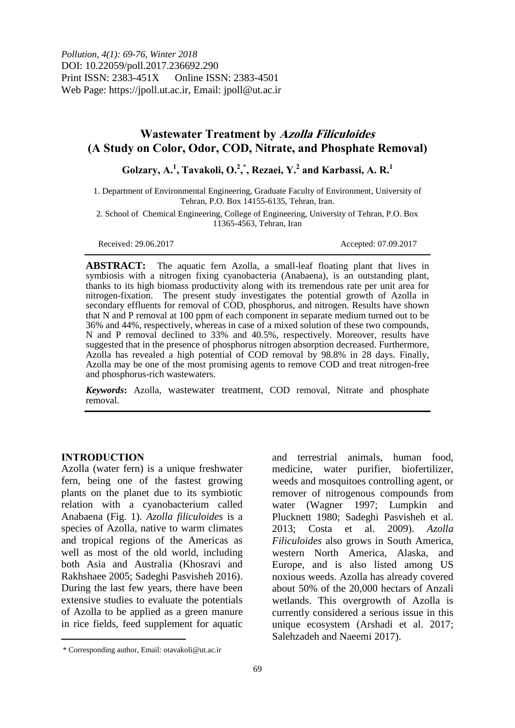*Pollution, 4(1): 69-76, Winter 2018* DOI: 10.22059/poll.2017.236692.290 Print ISSN: 2383-451X Online ISSN: 2383-4501 Web Page: https://jpoll.ut.ac.ir, Email: jpoll@ut.ac.ir

# **Wastewater Treatment by Azolla Filiculoides (A Study on Color, Odor, COD, Nitrate, and Phosphate Removal)**

**Golzary, A.<sup>1</sup> , Tavakoli, O.<sup>2</sup> , \* , Rezaei, Y.<sup>2</sup> and Karbassi, A. R.<sup>1</sup>**

1. Department of Environmental Engineering, Graduate Faculty of Environment, University of Tehran, P.O. Box 14155-6135, Tehran, Iran.

2. School of Chemical Engineering, College of Engineering, University of Tehran, P.O. Box 11365-4563, Tehran, Iran

Received: 29.06.2017 Accepted: 07.09.2017

**ABSTRACT:** The aquatic fern Azolla, a small-leaf floating plant that lives in symbiosis with a nitrogen fixing cyanobacteria (Anabaena), is an outstanding plant, thanks to its high biomass productivity along with its tremendous rate per unit area for nitrogen-fixation. The present study investigates the potential growth of Azolla in secondary effluents for removal of COD, phosphorus, and nitrogen. Results have shown that N and P removal at 100 ppm of each component in separate medium turned out to be 36% and 44%, respectively, whereas in case of a mixed solution of these two compounds, N and P removal declined to 33% and 40.5%, respectively. Moreover, results have suggested that in the presence of phosphorus nitrogen absorption decreased. Furthermore, Azolla has revealed a high potential of COD removal by 98.8% in 28 days. Finally, Azolla may be one of the most promising agents to remove COD and treat nitrogen-free and phosphorus-rich wastewaters.

*Keywords***:** Azolla, wastewater treatment, COD removal, Nitrate and phosphate removal.

### **INTRODUCTION**

 $\ddot{\phantom{a}}$ 

Azolla (water fern) is a unique freshwater fern, being one of the fastest growing plants on the planet due to its symbiotic relation with a cyanobacterium called Anabaena (Fig. 1). *Azolla filiculoides* is a species of Azolla, native to warm climates and tropical regions of the Americas as well as most of the old world, including both Asia and Australia (Khosravi and Rakhshaee 2005; Sadeghi Pasvisheh 2016). During the last few years, there have been extensive studies to evaluate the potentials of Azolla to be applied as a green manure in rice fields, feed supplement for aquatic

and terrestrial animals, human food, medicine, water purifier, biofertilizer, weeds and mosquitoes controlling agent, or remover of nitrogenous compounds from water (Wagner 1997; Lumpkin and Plucknett 1980; Sadeghi Pasvisheh et al. 2013; Costa et al. 2009). *Azolla Filiculoides* also grows in South America, western North America, Alaska, and Europe, and is also listed among US noxious weeds. Azolla has already covered about 50% of the 20,000 hectars of Anzali wetlands. This overgrowth of Azolla is currently considered a serious issue in this unique ecosystem (Arshadi et al. 2017; Salehzadeh and Naeemi 2017).

<sup>\*</sup> Corresponding author, Email: otavakoli@ut.ac.ir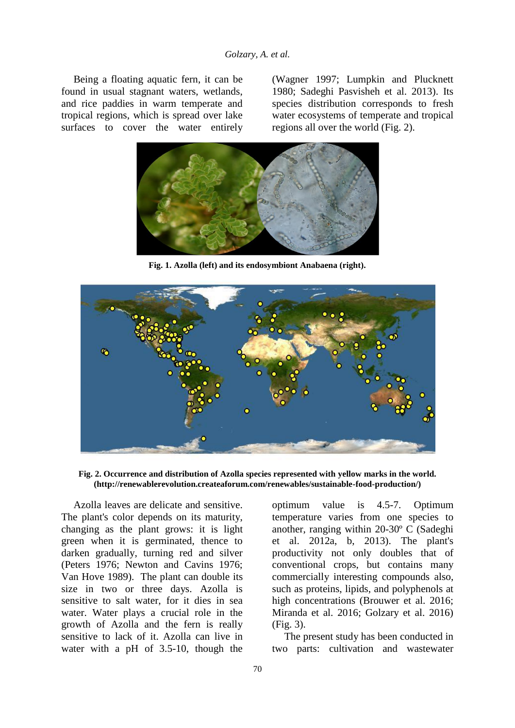Being a floating aquatic fern, it can be found in usual stagnant waters, wetlands, and rice paddies in warm temperate and tropical regions, which is spread over lake surfaces to cover the water entirely

(Wagner 1997; Lumpkin and Plucknett 1980; Sadeghi Pasvisheh et al. 2013). Its species distribution corresponds to fresh water ecosystems of temperate and tropical regions all over the world (Fig. 2).



**Fig. 1. Azolla (left) and its endosymbiont Anabaena (right).** 



**Fig. 2. Occurrence and distribution of Azolla species represented with yellow marks in the world. (http://renewablerevolution.createaforum.com/renewables/sustainable-food-production/)**

Azolla leaves are delicate and sensitive. The plant's color depends on its maturity, changing as the plant grows: it is light green when it is germinated, thence to darken gradually, turning red and silver (Peters 1976; Newton and Cavins 1976; Van Hove 1989). The plant can double its size in two or three days. Azolla is sensitive to salt water, for it dies in sea water. Water plays a crucial role in the growth of Azolla and the fern is really sensitive to lack of it. Azolla can live in water with a pH of 3.5-10, though the

optimum value is 4.5-7. Optimum temperature varies from one species to another, ranging within 20-30º C (Sadeghi et al. 2012a, b, 2013). The plant's productivity not only doubles that of conventional crops, but contains many commercially interesting compounds also, such as proteins, lipids, and polyphenols at high concentrations (Brouwer et al. 2016; Miranda et al. 2016; Golzary et al. 2016) (Fig. 3).

The present study has been conducted in two parts: cultivation and wastewater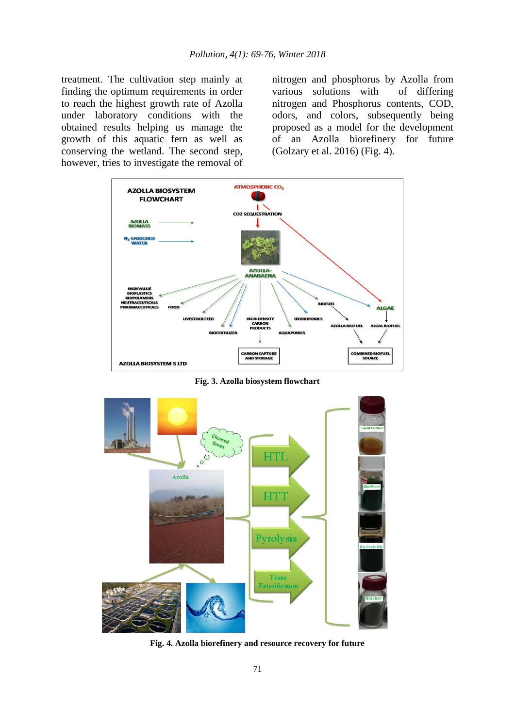treatment. The cultivation step mainly at finding the optimum requirements in order to reach the highest growth rate of Azolla under laboratory conditions with the obtained results helping us manage the growth of this aquatic fern as well as conserving the wetland. The second step, however, tries to investigate the removal of

nitrogen and phosphorus by Azolla from various solutions with of differing nitrogen and Phosphorus contents, COD, odors, and colors, subsequently being proposed as a model for the development of an Azolla biorefinery for future (Golzary et al. 2016) (Fig. 4).



**Fig. 3. Azolla biosystem flowchart**



**Fig. 4. Azolla biorefinery and resource recovery for future**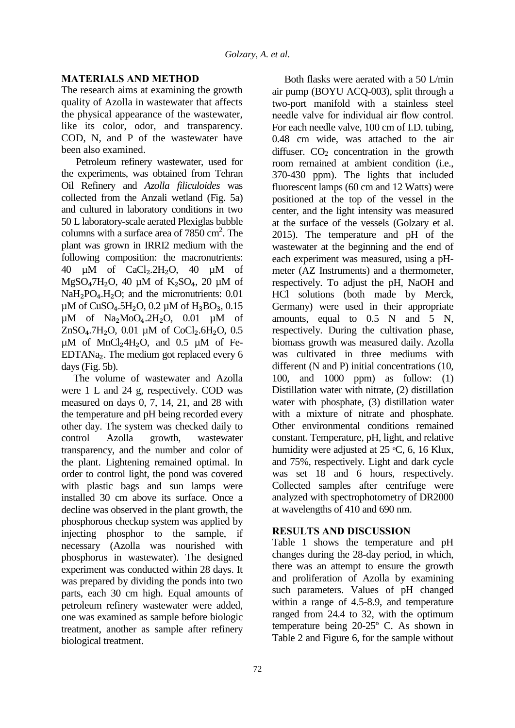## **MATERIALS AND METHOD**

The research aims at examining the growth quality of Azolla in wastewater that affects the physical appearance of the wastewater, like its color, odor, and transparency. COD, N, and P of the wastewater have been also examined.

Petroleum refinery wastewater, used for the experiments, was obtained from Tehran Oil Refinery and *Azolla filiculoides* was collected from the Anzali wetland (Fig. 5a) and cultured in laboratory conditions in two 50 L laboratory-scale aerated Plexiglas bubble columns with a surface area of  $7850 \text{ cm}^2$ . The plant was grown in IRRI2 medium with the following composition: the macronutrients: 40  $\mu$ M of CaCl<sub>2</sub>.2H<sub>2</sub>O, 40  $\mu$ M of  $MgSO<sub>4</sub>7H<sub>2</sub>O$ , 40 µM of K<sub>2</sub>SO<sub>4</sub>, 20 µM of  $NaH<sub>2</sub>PO<sub>4</sub>.H<sub>2</sub>O$ ; and the micronutrients:  $0.01$  $\mu$ M of CuSO<sub>4</sub>.5H<sub>2</sub>O, 0.2  $\mu$ M of H<sub>3</sub>BO<sub>3</sub>, 0.15  $\mu$ M of Na<sub>2</sub>MoO<sub>4</sub>.2H<sub>2</sub>O, 0.01  $\mu$ M of  $ZnSO<sub>4</sub>.7H<sub>2</sub>O$ , 0.01 µM of CoCl<sub>2</sub>.6H<sub>2</sub>O, 0.5  $\mu$ M of MnCl<sub>2</sub>4H<sub>2</sub>O, and 0.5  $\mu$ M of Fe-EDTANa<sub>2</sub>. The medium got replaced every  $6$ days (Fig. 5b).

The volume of wastewater and Azolla were 1 L and 24 g, respectively. COD was measured on days 0, 7, 14, 21, and 28 with the temperature and pH being recorded every other day. The system was checked daily to control Azolla growth, wastewater transparency, and the number and color of the plant. Lightening remained optimal. In order to control light, the pond was covered with plastic bags and sun lamps were installed 30 cm above its surface. Once a decline was observed in the plant growth, the phosphorous checkup system was applied by injecting phosphor to the sample, if necessary (Azolla was nourished with phosphorus in wastewater). The designed experiment was conducted within 28 days. It was prepared by dividing the ponds into two parts, each 30 cm high. Equal amounts of petroleum refinery wastewater were added, one was examined as sample before biologic treatment, another as sample after refinery biological treatment.

Both flasks were aerated with a 50 L/min air pump (BOYU ACQ-003), split through a two-port manifold with a stainless steel needle valve for individual air flow control. For each needle valve, 100 cm of I.D. tubing, 0.48 cm wide, was attached to the air diffuser.  $CO<sub>2</sub>$  concentration in the growth room remained at ambient condition (i.e., 370-430 ppm). The lights that included fluorescent lamps (60 cm and 12 Watts) were positioned at the top of the vessel in the center, and the light intensity was measured at the surface of the vessels (Golzary et al. 2015). The temperature and pH of the wastewater at the beginning and the end of each experiment was measured, using a pHmeter (AZ Instruments) and a thermometer, respectively. To adjust the pH, NaOH and HCl solutions (both made by Merck, Germany) were used in their appropriate amounts, equal to 0.5 N and 5 N, respectively. During the cultivation phase, biomass growth was measured daily. Azolla was cultivated in three mediums with different (N and P) initial concentrations (10, 100, and 1000 ppm) as follow: (1) Distillation water with nitrate, (2) distillation water with phosphate, (3) distillation water with a mixture of nitrate and phosphate. Other environmental conditions remained constant. Temperature, pH, light, and relative humidity were adjusted at  $25 \text{ °C}$ , 6, 16 Klux, and 75%, respectively. Light and dark cycle was set 18 and 6 hours, respectively. Collected samples after centrifuge were analyzed with spectrophotometry of DR2000 at wavelengths of 410 and 690 nm.

### **RESULTS AND DISCUSSION**

Table 1 shows the temperature and pH changes during the 28-day period, in which, there was an attempt to ensure the growth and proliferation of Azolla by examining such parameters. Values of pH changed within a range of 4.5-8.9, and temperature ranged from 24.4 to 32, with the optimum temperature being 20-25º C. As shown in Table 2 and Figure 6, for the sample without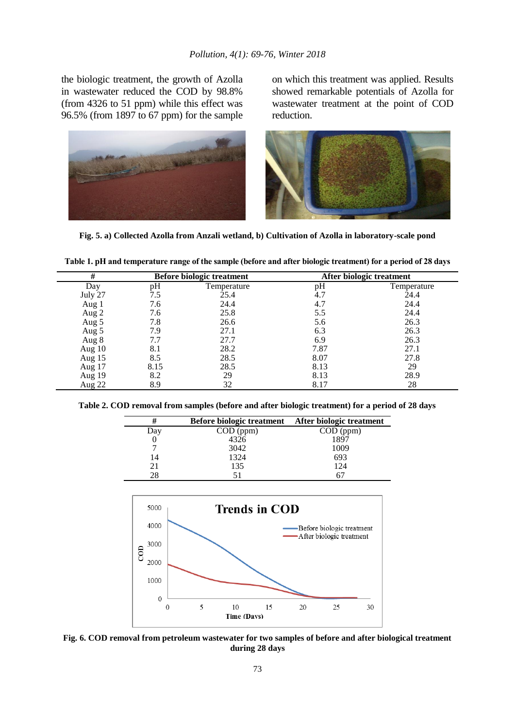the biologic treatment, the growth of Azolla in wastewater reduced the COD by 98.8% (from 4326 to 51 ppm) while this effect was 96.5% (from 1897 to 67 ppm) for the sample on which this treatment was applied. Results showed remarkable potentials of Azolla for wastewater treatment at the point of COD reduction.



**Fig. 5. a) Collected Azolla from Anzali wetland, b) Cultivation of Azolla in laboratory-scale pond**

| #       | <b>Before biologic treatment</b> |             | After biologic treatment |             |
|---------|----------------------------------|-------------|--------------------------|-------------|
| Day     | pН                               | Temperature | pH                       | Temperature |
| July 27 | 7.5                              | 25.4        | 4.7                      | 24.4        |
| Aug 1   | 7.6                              | 24.4        | 4.7                      | 24.4        |
| Aug 2   | 7.6                              | 25.8        | 5.5                      | 24.4        |
| Aug 5   | 7.8                              | 26.6        | 5.6                      | 26.3        |
| Aug 5   | 7.9                              | 27.1        | 6.3                      | 26.3        |
| Aug 8   | 7.7                              | 27.7        | 6.9                      | 26.3        |
| Aug 10  | 8.1                              | 28.2        | 7.87                     | 27.1        |
| Aug 15  | 8.5                              | 28.5        | 8.07                     | 27.8        |
| Aug 17  | 8.15                             | 28.5        | 8.13                     | 29          |
| Aug 19  | 8.2                              | 29          | 8.13                     | 28.9        |
| Aug 22  | 8.9                              | 32          | 8.17                     | 28          |

**Table 1. pH and temperature range of the sample (before and after biologic treatment) for a period of 28 days**

**Table 2. COD removal from samples (before and after biologic treatment) for a period of 28 days**

| #   | <b>Before biologic treatment</b> | After biologic treatment |
|-----|----------------------------------|--------------------------|
| Day | $COD$ (ppm)                      | $COD$ (ppm)              |
|     | 4326                             | 1897                     |
|     | 3042                             | 1009                     |
| 14  | 1324                             | 693                      |
| 21  | 135                              | 124                      |
| 28  |                                  | n.                       |



**Fig. 6. COD removal from petroleum wastewater for two samples of before and after biological treatment during 28 days**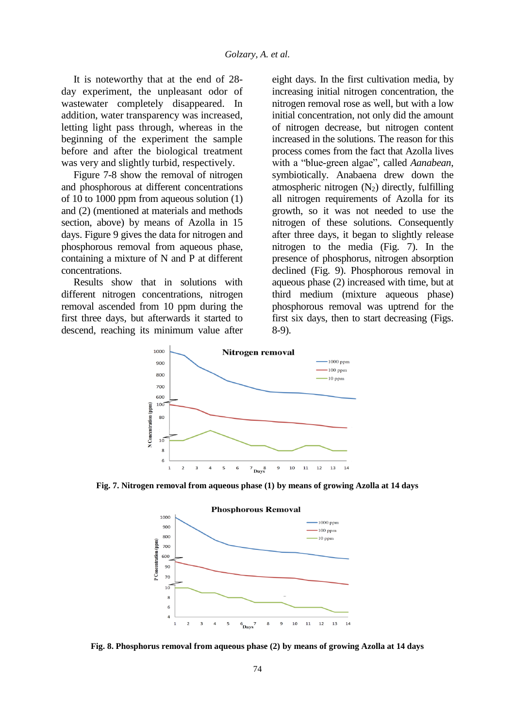It is noteworthy that at the end of 28 day experiment, the unpleasant odor of wastewater completely disappeared. In addition, water transparency was increased, letting light pass through, whereas in the beginning of the experiment the sample before and after the biological treatment was very and slightly turbid, respectively.

Figure 7-8 show the removal of nitrogen and phosphorous at different concentrations of 10 to 1000 ppm from aqueous solution (1) and (2) (mentioned at materials and methods section, above) by means of Azolla in 15 days. Figure 9 gives the data for nitrogen and phosphorous removal from aqueous phase, containing a mixture of N and P at different concentrations.

Results show that in solutions with different nitrogen concentrations, nitrogen removal ascended from 10 ppm during the first three days, but afterwards it started to descend, reaching its minimum value after eight days. In the first cultivation media, by increasing initial nitrogen concentration, the nitrogen removal rose as well, but with a low initial concentration, not only did the amount of nitrogen decrease, but nitrogen content increased in the solutions. The reason for this process comes from the fact that Azolla lives with a "blue-green algae", called *Aanabean*, symbiotically. Anabaena drew down the atmospheric nitrogen  $(N_2)$  directly, fulfilling all nitrogen requirements of Azolla for its growth, so it was not needed to use the nitrogen of these solutions. Consequently after three days, it began to slightly release nitrogen to the media (Fig. 7). In the presence of phosphorus, nitrogen absorption declined (Fig. 9). Phosphorous removal in aqueous phase (2) increased with time, but at third medium (mixture aqueous phase) phosphorous removal was uptrend for the first six days, then to start decreasing (Figs. 8-9).



**Fig. 7. Nitrogen removal from aqueous phase (1) by means of growing Azolla at 14 days**



**Fig. 8. Phosphorus removal from aqueous phase (2) by means of growing Azolla at 14 days**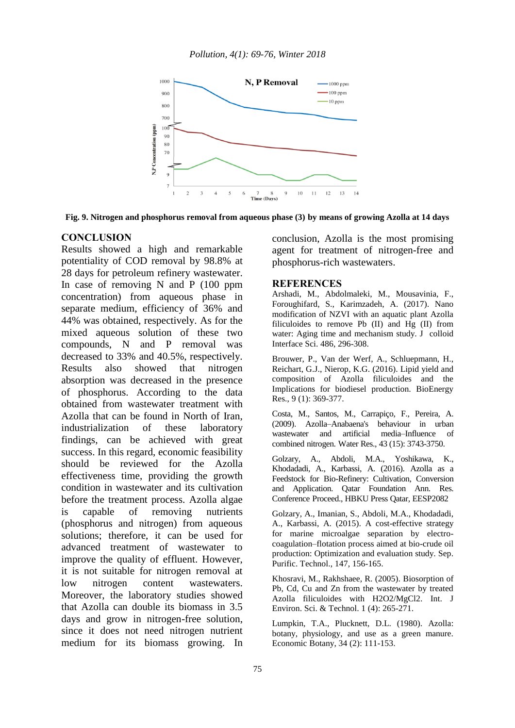

**Fig. 9. Nitrogen and phosphorus removal from aqueous phase (3) by means of growing Azolla at 14 days** 

### **CONCLUSION**

Results showed a high and remarkable potentiality of COD removal by 98.8% at 28 days for petroleum refinery wastewater. In case of removing N and P (100 ppm concentration) from aqueous phase in separate medium, efficiency of 36% and 44% was obtained, respectively. As for the mixed aqueous solution of these two compounds, N and P removal was decreased to 33% and 40.5%, respectively. Results also showed that nitrogen absorption was decreased in the presence of phosphorus. According to the data obtained from wastewater treatment with Azolla that can be found in North of Iran, industrialization of these laboratory findings, can be achieved with great success. In this regard, economic feasibility should be reviewed for the Azolla effectiveness time, providing the growth condition in wastewater and its cultivation before the treatment process. Azolla algae is capable of removing nutrients (phosphorus and nitrogen) from aqueous solutions; therefore, it can be used for advanced treatment of wastewater to improve the quality of effluent. However, it is not suitable for nitrogen removal at low nitrogen content wastewaters. Moreover, the laboratory studies showed that Azolla can double its biomass in 3.5 days and grow in nitrogen-free solution, since it does not need nitrogen nutrient medium for its biomass growing. In

conclusion, Azolla is the most promising agent for treatment of nitrogen-free and phosphorus-rich wastewaters.

#### **REFERENCES**

Arshadi, M., Abdolmaleki, M., Mousavinia, F., Foroughifard, S., Karimzadeh, A. (2017). Nano modification of NZVI with an aquatic plant Azolla filiculoides to remove Pb (II) and Hg (II) from water: Aging time and mechanism study. J colloid Interface Sci. 486, 296-308.

Brouwer, P., Van der Werf, A., Schluepmann, H., Reichart, G.J., Nierop, K.G. (2016). Lipid yield and composition of Azolla filiculoides and the Implications for biodiesel production. BioEnergy Res., 9 (1): 369-377.

Costa, M., Santos, M., Carrapiço, F., Pereira, A. (2009). Azolla–Anabaena's behaviour in urban wastewater and artificial media–Influence of combined nitrogen. Water Res., 43 (15): 3743-3750.

Golzary, A., Abdoli, M.A., Yoshikawa, K., Khodadadi, A., Karbassi, A. (2016). Azolla as a Feedstock for Bio-Refinery: Cultivation, Conversion and Application. Qatar Foundation Ann. Res. Conference Proceed., HBKU Press Qatar, EESP2082

Golzary, A., Imanian, S., Abdoli, M.A., Khodadadi, A., Karbassi, A. (2015). A cost-effective strategy for marine microalgae separation by electrocoagulation–flotation process aimed at bio-crude oil production: Optimization and evaluation study. Sep. Purific. Technol., 147, 156-165.

Khosravi, M., Rakhshaee, R. (2005). Biosorption of Pb, Cd, Cu and Zn from the wastewater by treated Azolla filiculoides with H2O2/MgCl2. Int. J Environ. Sci. & Technol. 1 (4): 265-271.

Lumpkin, T.A., Plucknett, D.L. (1980). Azolla: botany, physiology, and use as a green manure. Economic Botany, 34 (2): 111-153.